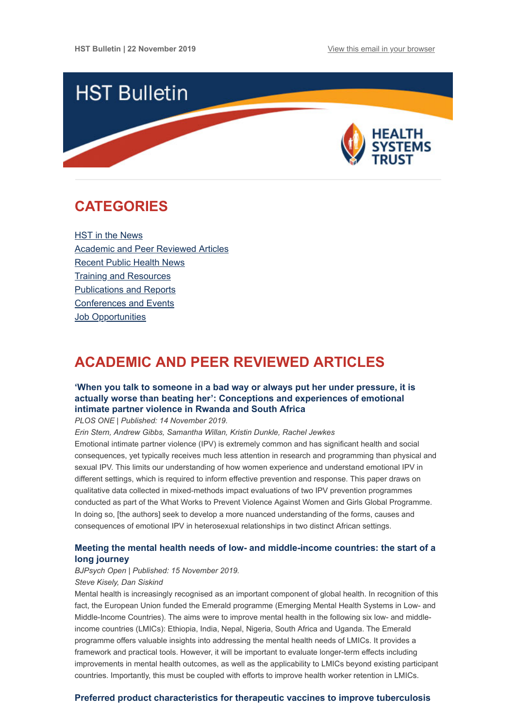

# <span id="page-0-1"></span>**CATEGORIES**

HST in the News [Academic and Peer Reviewed Articles](#page-0-0) [Recent Public Health News](#page-2-0) [Training and Resources](#page-2-1) [Publications and Reports](#page-3-0) [Conferences and Events](#page-3-1) Job Opportunities

# <span id="page-0-0"></span>**ACADEMIC AND PEER REVIEWED ARTICLES**

# **['When you talk to someone in a bad way or always put her under pressure, it is](https://journals.plos.org/plosone/article?id=10.1371/journal.pone.0225121) actually worse than beating her': Conceptions and experiences of emotional intimate partner violence in Rwanda and South Africa**

*PLOS ONE | Published: 14 November 2019.*

*Erin Stern, Andrew Gibbs, Samantha Willan, Kristin Dunkle, Rachel Jewkes*

Emotional intimate partner violence (IPV) is extremely common and has significant health and social consequences, yet typically receives much less attention in research and programming than physical and sexual IPV. This limits our understanding of how women experience and understand emotional IPV in different settings, which is required to inform effective prevention and response. This paper draws on qualitative data collected in mixed-methods impact evaluations of two IPV prevention programmes conducted as part of the What Works to Prevent Violence Against Women and Girls Global Programme. In doing so, [the authors] seek to develop a more nuanced understanding of the forms, causes and consequences of emotional IPV in heterosexual relationships in two distinct African settings.

# **[Meeting the mental health needs of low- and middle-income countries: the start of a](https://www.cambridge.org/core/journals/bjpsych-open/article/meeting-the-mental-health-needs-of-low-and-middleincome-countries-the-start-of-a-long-journey/91DF5CB1C3E278E7869ABD700C9B7819) long journey**

### *BJPsych Open | Published: 15 November 2019.*

### *Steve Kisely, Dan Siskind*

Mental health is increasingly recognised as an important component of global health. In recognition of this fact, the European Union funded the Emerald programme (Emerging Mental Health Systems in Low- and Middle-Income Countries). The aims were to improve mental health in the following six low- and middleincome countries (LMICs): Ethiopia, India, Nepal, Nigeria, South Africa and Uganda. The Emerald programme offers valuable insights into addressing the mental health needs of LMICs. It provides a framework and practical tools. However, it will be important to evaluate longer-term effects including improvements in mental health outcomes, as well as the applicability to LMICs beyond existing participant countries. Importantly, this must be coupled with efforts to improve health worker retention in LMICs.

## **[Preferred product characteristics for therapeutic vaccines to improve tuberculosis](https://www.sciencedirect.com/science/article/pii/S0264410X19314616?via%3Dihub)**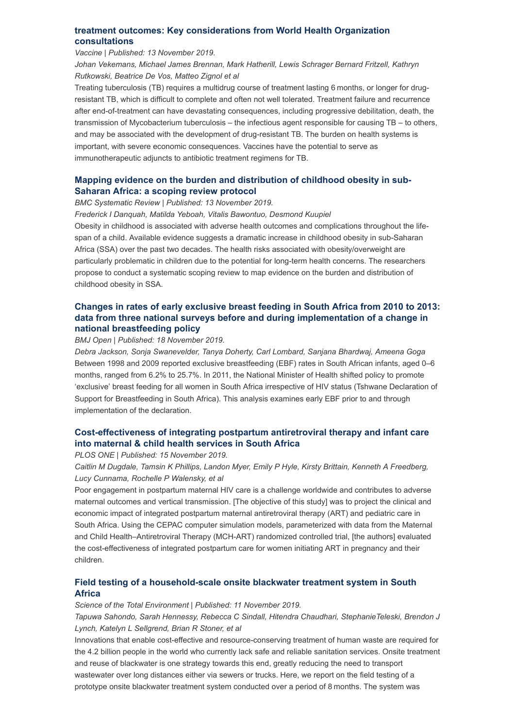## **[treatment outcomes: Key considerations from World Health Organization](https://www.sciencedirect.com/science/article/pii/S0264410X19314616?via%3Dihub) consultations**

#### *Vaccine | Published: 13 November 2019.*

*Johan Vekemans, Michael James Brennan, Mark Hatherill, Lewis Schrager Bernard Fritzell, Kathryn Rutkowski, Beatrice De Vos, Matteo Zignol et al*

Treating tuberculosis (TB) requires a multidrug course of treatment lasting 6 months, or longer for drugresistant TB, which is difficult to complete and often not well tolerated. Treatment failure and recurrence after end-of-treatment can have devastating consequences, including progressive debilitation, death, the transmission of Mycobacterium tuberculosis – the infectious agent responsible for causing TB – to others, and may be associated with the development of drug-resistant TB. The burden on health systems is important, with severe economic consequences. Vaccines have the potential to serve as immunotherapeutic adjuncts to antibiotic treatment regimens for TB.

# **[Mapping evidence on the burden and distribution of childhood obesity in sub-](https://systematicreviewsjournal.biomedcentral.com/articles/10.1186/s13643-019-1189-z)Saharan Africa: a scoping review protocol**

*BMC Systematic Review | Published: 13 November 2019.*

*Frederick I Danquah, Matilda Yeboah, Vitalis Bawontuo, Desmond Kuupiel*

Obesity in childhood is associated with adverse health outcomes and complications throughout the lifespan of a child. Available evidence suggests a dramatic increase in childhood obesity in sub-Saharan Africa (SSA) over the past two decades. The health risks associated with obesity/overweight are particularly problematic in children due to the potential for long-term health concerns. The researchers propose to conduct a systematic scoping review to map evidence on the burden and distribution of childhood obesity in SSA.

# **[Changes in rates of early exclusive breast feeding in South Africa from 2010 to 2013:](https://bmjopen.bmj.com/content/9/11/e028095) data from three national surveys before and during implementation of a change in national breastfeeding policy**

#### *BMJ Open | Published: 18 November 2019.*

*Debra Jackson, Sonja Swanevelder, Tanya Doherty, Carl Lombard, Sanjana Bhardwaj, Ameena Goga* Between 1998 and 2009 reported exclusive breastfeeding (EBF) rates in South African infants, aged 0–6 months, ranged from 6.2% to 25.7%. In 2011, the National Minister of Health shifted policy to promote 'exclusive' breast feeding for all women in South Africa irrespective of HIV status (Tshwane Declaration of Support for Breastfeeding in South Africa). This analysis examines early EBF prior to and through implementation of the declaration.

# **[Cost-effectiveness of integrating postpartum antiretroviral therapy and infant care](https://journals.plos.org/plosone/article?id=10.1371/journal.pone.0225104) into maternal & child health services in South Africa**

#### *PLOS ONE | Published: 15 November 2019.*

*Caitlin M Dugdale, Tamsin K Phillips, Landon Myer, Emily P Hyle, Kirsty Brittain, Kenneth A Freedberg, Lucy Cunnama, Rochelle P Walensky, et al*

Poor engagement in postpartum maternal HIV care is a challenge worldwide and contributes to adverse maternal outcomes and vertical transmission. [The objective of this study] was to project the clinical and economic impact of integrated postpartum maternal antiretroviral therapy (ART) and pediatric care in South Africa. Using the CEPAC computer simulation models, parameterized with data from the Maternal and Child Health–Antiretroviral Therapy (MCH-ART) randomized controlled trial, [the authors] evaluated the cost-effectiveness of integrated postpartum care for women initiating ART in pregnancy and their children.

## **[Field testing of a household-scale onsite blackwater treatment system in South](https://www.sciencedirect.com/science/article/pii/S0048969719354622?via%3Dihub) Africa**

#### *Science of the Total Environment | Published: 11 November 2019.*

*Tapuwa Sahondo, Sarah Hennessy, Rebecca C Sindall, Hitendra Chaudhari, StephanieTeleski, Brendon J Lynch, Katelyn L Sellgrend, Brian R Stoner, et al*

Innovations that enable cost-effective and resource-conserving treatment of human waste are required for the 4.2 billion people in the world who currently lack safe and reliable sanitation services. Onsite treatment and reuse of blackwater is one strategy towards this end, greatly reducing the need to transport wastewater over long distances either via sewers or trucks. Here, we report on the field testing of a prototype onsite blackwater treatment system conducted over a period of 8 months. The system was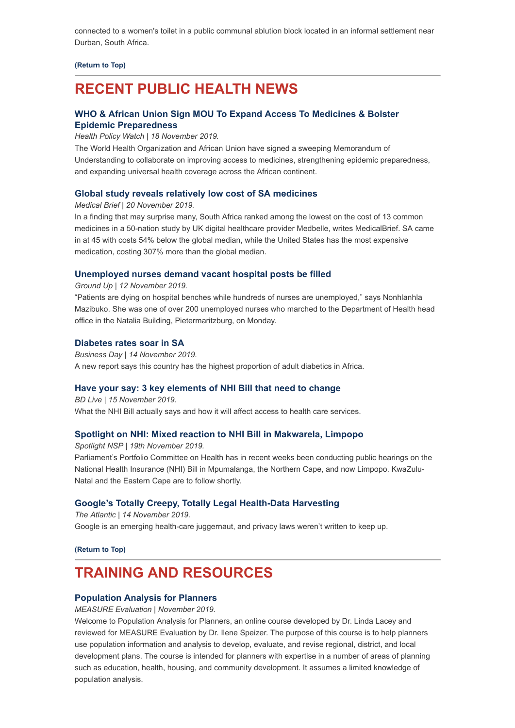connected to a women's toilet in a public communal ablution block located in an informal settlement near Durban, South Africa.

**[\(Return to Top\)](#page-0-1)**

# <span id="page-2-0"></span>**RECENT PUBLIC HEALTH NEWS**

## **[WHO & African Union Sign MOU To Expand Access To Medicines & Bolster](https://www.healthpolicy-watch.org/who-african-union-sign-mou-to-expand-access-to-medicines-bolster-epidemic-preparedness/) Epidemic Preparedness**

*Health Policy Watch | 18 November 2019.*

The World Health Organization and African Union have signed a sweeping Memorandum of Understanding to collaborate on improving access to medicines, strengthening epidemic preparedness, and expanding universal health coverage across the African continent.

## **[Global study reveals relatively low cost of SA medicines](https://www.medicalbrief.co.za/archives/global-study-reveals-relatively-low-cost-of-sa-medicines/)**

*Medical Brief | 20 November 2019.*

In a finding that may surprise many, South Africa ranked among the lowest on the cost of 13 common medicines in a 50-nation study by UK digital healthcare provider Medbelle, writes MedicalBrief. SA came in at 45 with costs 54% below the global median, while the United States has the most expensive medication, costing 307% more than the global median.

### **[Unemployed nurses demand vacant hospital posts be filled](https://www.groundup.org.za/article/unemployed-nurses-demand-vacant-hospital-posts-be-filled/)**

*Ground Up | 12 November 2019.*

"Patients are dying on hospital benches while hundreds of nurses are unemployed," says Nonhlanhla Mazibuko. She was one of over 200 unemployed nurses who marched to the Department of Health head office in the Natalia Building, Pietermaritzburg, on Monday.

### **[Diabetes rates soar in SA](https://www.businesslive.co.za/bd/national/health/2019-11-14-diabetes-rates-soar-in-sa/)**

*Business Day | 14 November 2019.* A new report says this country has the highest proportion of adult diabetics in Africa.

### **[Have your say: 3 key elements of NHI Bill that need to change](https://www.businesslive.co.za/bd/national/health/2019-11-15-native-have-your-say-3-key-components-of-the-nhi-bill-that-need-to-change/)**

*BD Live | 15 November 2019.* What the NHI Bill actually says and how it will affect access to health care services.

## **[Spotlight on NHI: Mixed reaction to NHI Bill in Makwarela, Limpopo](https://www.spotlightnsp.co.za/2019/11/19/spotlight-on-nhi-mixed-reaction-to-nhi-bill-in-makwarela-limpopo/)**

*Spotlight NSP | 19th November 2019.* Parliament's Portfolio Committee on Health has in recent weeks been conducting public hearings on the National Health Insurance (NHI) Bill in Mpumalanga, the Northern Cape, and now Limpopo. KwaZulu-Natal and the Eastern Cape are to follow shortly.

## **[Google's Totally Creepy, Totally Legal Health-Data Harvesting](https://www.theatlantic.com/technology/archive/2019/11/google-project-nightingale-all-your-health-data/601999/?utm_source=Global+Health+NOW+Main+List&utm_campaign=181c1fb8c1-EMAIL_CAMPAIGN_2019_11_14_01_39&utm_medium=email&utm_term=0_8d0d062dbd-181c1fb8c1-2811001)**

*The Atlantic | 14 November 2019.* Google is an emerging health-care juggernaut, and privacy laws weren't written to keep up.

**[\(Return to Top\)](#page-0-1)**

# <span id="page-2-1"></span>**TRAINING AND RESOURCES**

## **[Population Analysis for Planners](https://www.measureevaluation.org/resources/training/online-courses-and-resources/non-certificate-courses-and-mini-tutorials/population-analysis-for-planners)**

*MEASURE Evaluation | November 2019.*

Welcome to Population Analysis for Planners, an online course developed by Dr. Linda Lacey and reviewed for MEASURE Evaluation by Dr. Ilene Speizer. The purpose of this course is to help planners use population information and analysis to develop, evaluate, and revise regional, district, and local development plans. The course is intended for planners with expertise in a number of areas of planning such as education, health, housing, and community development. It assumes a limited knowledge of population analysis.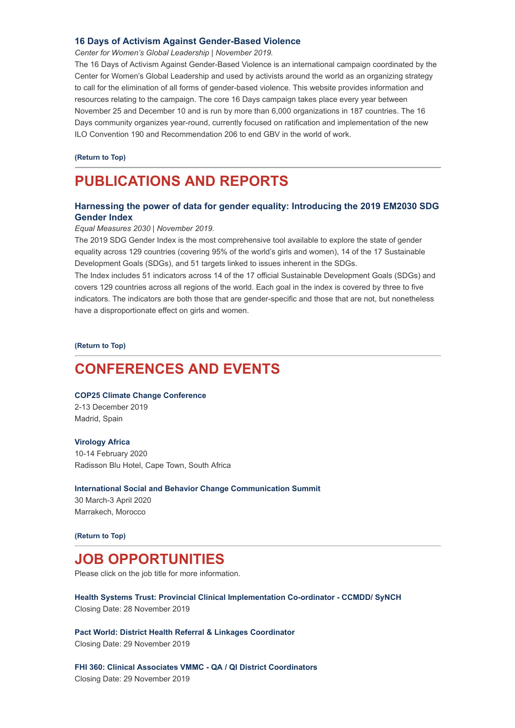### **[16 Days of Activism Against Gender-Based Violence](https://16dayscampaign.org/)**

*Center for Women's Global Leadership | November 2019.*

The 16 Days of Activism Against Gender-Based Violence is an international campaign coordinated by the Center for Women's Global Leadership and used by activists around the world as an organizing strategy to call for the elimination of all forms of gender-based violence. This website provides information and resources relating to the campaign. The core 16 Days campaign takes place every year between November 25 and December 10 and is run by more than 6,000 organizations in 187 countries. The 16 Days community organizes year-round, currently focused on ratification and implementation of the new ILO Convention 190 and Recommendation 206 to end GBV in the world of work.

**[\(Return to Top\)](#page-0-1)**

# <span id="page-3-0"></span>**PUBLICATIONS AND REPORTS**

# **[Harnessing the power of data for gender equality: Introducing the 2019 EM2030 SDG](https://www.hst.org.za/publications/NonHST%20Publications/EM2030_2019_Global_Report_English_WEB.pdf) Gender Index**

#### *Equal Measures 2030 | November 2019.*

The 2019 SDG Gender Index is the most comprehensive tool available to explore the state of gender equality across 129 countries (covering 95% of the world's girls and women), 14 of the 17 Sustainable Development Goals (SDGs), and 51 targets linked to issues inherent in the SDGs.

The Index includes 51 indicators across 14 of the 17 official Sustainable Development Goals (SDGs) and covers 129 countries across all regions of the world. Each goal in the index is covered by three to five indicators. The indicators are both those that are gender-specific and those that are not, but nonetheless have a disproportionate effect on girls and women.

**[\(Return to Top\)](#page-0-1)**

# <span id="page-3-1"></span>**CONFERENCES AND EVENTS**

#### **[COP25 Climate Change Conference](https://www.who.int/news-room/events/detail/2019/12/02/default-calendar/cop25-climate-change-conference)**

2-13 December 2019 Madrid, Spain

#### **[Virology Africa](https://www.hst.org.za/Lists/HST%20Events/DispForm.aspx?ID=66)**

10-14 February 2020 Radisson Blu Hotel, Cape Town, South Africa

#### **[International Social and Behavior Change Communication Summit](https://www.hst.org.za/Lists/HST%20Events/DispForm.aspx?ID=65)**

30 March-3 April 2020 Marrakech, Morocco

**[\(Return to Top\)](#page-0-1)**

# **JOB OPPORTUNITIES**

Please click on the job title for more information.

**[Health Systems Trust: Provincial Clinical Implementation Co-ordinator - CCMDD/ SyNCH](https://www.hst.org.za/Pages/Provincial-Clinical-Implementation-Co-ordinator-CCMDD-SyNCH.aspx)** Closing Date: 28 November 2019

**[Pact World: District Health Referral & Linkages Coordinator](http://www.ngopulse.org/opportunity/2019/11/21/pact-world-district-health-referral-linkages-coordinator)** Closing Date: 29 November 2019

**[FHI 360: Clinical Associates VMMC - QA / QI District Coordinators](http://www.ngopulse.org/opportunity/2019/11/20/fhi-360-clinical-associates-vmmc-qa-qi-district-coordinators)** Closing Date: 29 November 2019